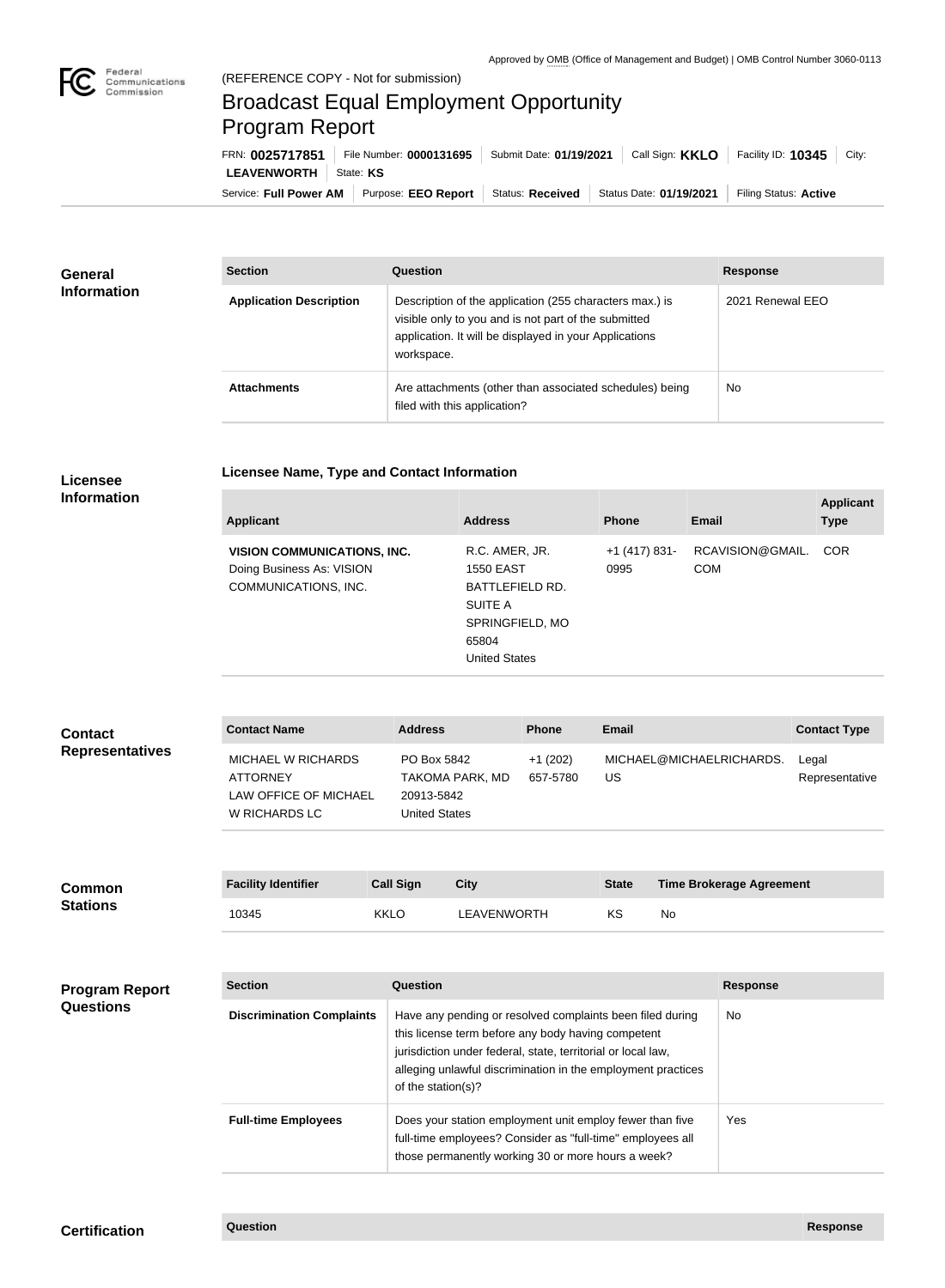

## Broadcast Equal Employment Opportunity Program Report

**Licensee Name, Type and Contact Information**

Service: Full Power AM | Purpose: EEO Report | Status: Received | Status Date: 01/19/2021 | Filing Status: Active **LEAVENWORTH** State: KS FRN: **0025717851** File Number: **0000131695** Submit Date: **01/19/2021** Call Sign: **KKLO** Facility ID: **10345** City:

| <b>General</b><br><b>Information</b> | <b>Section</b>                 | <b>Question</b>                                                                                                                                                                         | <b>Response</b>  |
|--------------------------------------|--------------------------------|-----------------------------------------------------------------------------------------------------------------------------------------------------------------------------------------|------------------|
|                                      | <b>Application Description</b> | Description of the application (255 characters max.) is<br>visible only to you and is not part of the submitted<br>application. It will be displayed in your Applications<br>workspace. | 2021 Renewal EEO |
|                                      | <b>Attachments</b>             | Are attachments (other than associated schedules) being<br>filed with this application?                                                                                                 | <b>No</b>        |

## **Licensee Information**

| RCAVISION@GMAIL.<br>R.C. AMER, JR.<br><b>COR</b><br><b>VISION COMMUNICATIONS, INC.</b><br>+1 (417) 831-<br>Doing Business As: VISION<br><b>COM</b><br><b>1550 EAST</b><br>0995<br>COMMUNICATIONS, INC.<br>BATTLEFIELD RD.<br>SUITE A<br>SPRINGFIELD, MO<br>65804<br><b>United States</b> | <b>Applicant</b> | <b>Address</b> | <b>Phone</b> | <b>Email</b> | <b>Applicant</b><br><b>Type</b> |
|------------------------------------------------------------------------------------------------------------------------------------------------------------------------------------------------------------------------------------------------------------------------------------------|------------------|----------------|--------------|--------------|---------------------------------|
|                                                                                                                                                                                                                                                                                          |                  |                |              |              |                                 |

## **Contact Name Address Phone Email Contact Type** MICHAEL W RICHARDS ATTORNEY LAW OFFICE OF MICHAEL W RICHARDS LC PO Box 5842 TAKOMA PARK, MD 20913-5842 United States +1 (202) 657-5780 MICHAEL@MICHAELRICHARDS. US Legal Representative **Contact Representatives**

| <b>Common</b><br><b>Stations</b> | <b>Facility Identifier</b> | Call Sign   | City        | <b>State</b> | <b>Time Brokerage Agreement</b> |
|----------------------------------|----------------------------|-------------|-------------|--------------|---------------------------------|
|                                  | 10345                      | <b>KKLO</b> | LEAVENWORTH | KS           | No                              |

| <b>Program Report</b> |  |
|-----------------------|--|
| <b>Questions</b>      |  |

| <b>Section</b>                   | Question                                                                                                                                                                                                                                                              | <b>Response</b> |
|----------------------------------|-----------------------------------------------------------------------------------------------------------------------------------------------------------------------------------------------------------------------------------------------------------------------|-----------------|
| <b>Discrimination Complaints</b> | Have any pending or resolved complaints been filed during<br>this license term before any body having competent<br>jurisdiction under federal, state, territorial or local law,<br>alleging unlawful discrimination in the employment practices<br>of the station(s)? | No.             |
| <b>Full-time Employees</b>       | Does your station employment unit employ fewer than five<br>full-time employees? Consider as "full-time" employees all<br>those permanently working 30 or more hours a week?                                                                                          | Yes             |